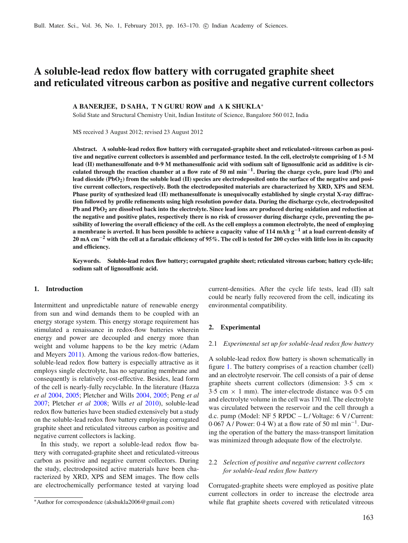# **A soluble-lead redox flow battery with corrugated graphite sheet and reticulated vitreous carbon as positive and negative current collectors**

## **A BANERJEE, D SAHA, T N GURU ROW and A K SHUKLA**<sup>∗</sup>

Solid State and Structural Chemistry Unit, Indian Institute of Science, Bangalore 560 012, India

MS received 3 August 2012; revised 23 August 2012

**Abstract. A soluble-lead redox flow battery with corrugated-graphite sheet and reticulated-vitreous carbon as positive and negative current collectors is assembled and performance tested. In the cell, electrolyte comprising of 1·5 M lead (II) methanesulfonate and 0·9 M methanesulfonic acid with sodium salt of lignosulfonic acid as additive is circulated through the reaction chamber at a flow rate of 50 ml min**<sup>−</sup>**1. During the charge cycle, pure lead (Pb) and lead dioxide (PbO2) from the soluble lead (II) species are electrodeposited onto the surface of the negative and positive current collectors, respectively. Both the electrodeposited materials are characterized by XRD, XPS and SEM. Phase purity of synthesized lead (II) methanesulfonate is unequivocally established by single crystal X-ray diffraction followed by profile refinements using high resolution powder data. During the discharge cycle, electrodeposited Pb and PbO2 are dissolved back into the electrolyte. Since lead ions are produced during oxidation and reduction at the negative and positive plates, respectively there is no risk of crossover during discharge cycle, preventing the possibility of lowering the overall efficiency of the cell. As the cell employs a common electrolyte, the need of employing a membrane is averted. It has been possible to achieve a capacity value of 114 mAh g**−**<sup>1</sup> at a load current-density of 20 mA cm**−**<sup>2</sup> with the cell at a faradaic efficiency of 95%. The cell is tested for 200 cycles with little loss in its capacity and efficiency.**

**Keywords. Soluble-lead redox flow battery; corrugated graphite sheet; reticulated vitreous carbon; battery cycle-life; sodium salt of lignosulfonic acid.**

#### **1. Introduction**

Intermittent and unpredictable nature of renewable energy from sun and wind demands them to be coupled with an energy storage system. This energy storage requirement has stimulated a renaissance in redox-flow batteries wherein energy and power are decoupled and energy more than weight and volume happens to be the key metric (Adam and Meyer[s](#page-7-0) [2011](#page-7-0)). Among the various redox-flow batteries, soluble-lead redox flow battery is especially attractive as it employs single electrolyte, has no separating membrane and consequently is relatively cost-effective. Besides, lead form of the cell is nearly-fully recyclable. In the literature (Hazza *et a[l](#page-7-1)* [2004](#page-7-1), [2005;](#page-7-2) Pletcher and Will[s](#page-7-3) [2004,](#page-7-3) [2005;](#page-7-4) Peng *et a[l](#page-7-5)* [2007;](#page-7-5) Pletcher *et a[l](#page-7-6)* [2008](#page-7-6); Wills *et a[l](#page-7-7)* [2010\)](#page-7-7), soluble-lead redox flow batteries have been studied extensively but a study on the soluble-lead redox flow battery employing corrugated graphite sheet and reticulated vitreous carbon as positive and negative current collectors is lacking.

In this study, we report a soluble-lead redox flow battery with corrugated-graphite sheet and reticulated-vitreous carbon as positive and negative current collectors. During the study, electrodeposited active materials have been characterized by XRD, XPS and SEM images. The flow cells are electrochemically performance tested at varying load current-densities. After the cycle life tests, lead (II) salt could be nearly fully recovered from the cell, indicating its environmental compatibility.

#### **2. Experimental**

#### 2.1 *Experimental set up for soluble-lead redox flow battery*

A soluble-lead redox flow battery is shown schematically in figure [1.](#page-1-0) The battery comprises of a reaction chamber (cell) and an electrolyte reservoir. The cell consists of a pair of dense graphite sheets current collectors (dimension:  $3.5 \text{ cm} \times$  $3.5$  cm  $\times$  1 mm). The inter-electrode distance was 0.5 cm and electrolyte volume in the cell was 170 ml. The electrolyte was circulated between the reservoir and the cell through a d.c. pump (Model: NF 5 RPDC – L/Voltage: 6 V/Current: 0·067 A / Power: 0·4 W) at a flow rate of 50 ml min<sup>−</sup>1. During the operation of the battery the mass-transport limitation was minimized through adequate flow of the electrolyte.

# 2.2 *Selection of positive and negative current collectors for soluble-lead redox flow battery*

Corrugated-graphite sheets were employed as positive plate current collectors in order to increase the electrode area while flat graphite sheets covered with reticulated vitreous

<sup>∗</sup>Author for correspondence (akshukla2006@gmail.com)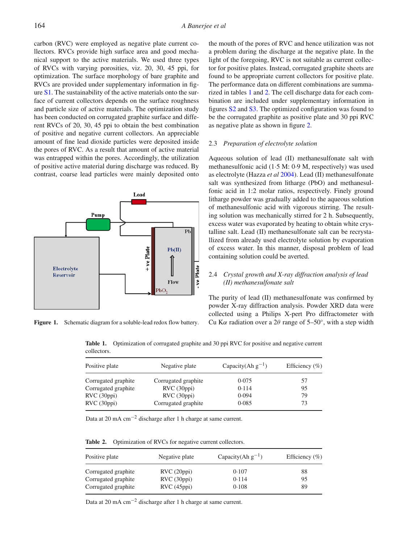carbon (RVC) were employed as negative plate current collectors. RVCs provide high surface area and good mechanical support to the active materials. We used three types of RVCs with varying porosities, viz. 20, 30, 45 ppi, for optimization. The surface morphology of bare graphite and RVCs are provided under supplementary information in figure S1. The sustainability of the active materials onto the surface of current collectors depends on the surface roughness and particle size of active materials. The optimization study has been conducted on corrugated graphite surface and different RVCs of 20, 30, 45 ppi to obtain the best combination of positive and negative current collectors. An appreciable amount of fine lead dioxide particles were deposited inside the pores of RVC. As a result that amount of active material was entrapped within the pores. Accordingly, the utilization of positive active material during discharge was reduced. By contrast, coarse lead particles were mainly deposited onto

<span id="page-1-0"></span>

<span id="page-1-1"></span>Figure 1. Schematic diagram for a soluble-lead redox flow battery.

the mouth of the pores of RVC and hence utilization was not a problem during the discharge at the negative plate. In the light of the foregoing, RVC is not suitable as current collector for positive plates. Instead, corrugated graphite sheets are found to be appropriate current collectors for positive plate. The performance data on different combinations are summarized in tables [1](#page-1-1) and [2.](#page-1-2) The cell discharge data for each combination are included under supplementary information in figures S2 and S3. The optimized configuration was found to be the corrugated graphite as positive plate and 30 ppi RVC as negative plate as shown in figure [2.](#page-2-0)

#### 2.3 *Preparation of electrolyte solution*

Aqueous solution of lead (II) methanesulfonate salt with methanesulfonic acid (1·5 M: 0·9 M, respectively) was used as electrolyte (Hazza *et a[l](#page-7-1)* [2004\)](#page-7-1). Lead (II) methanesulfonate salt was synthesized from litharge (PbO) and methanesulfonic acid in 1:2 molar ratios, respectively. Finely ground litharge powder was gradually added to the aqueous solution of methanesulfonic acid with vigorous stirring. The resulting solution was mechanically stirred for 2 h. Subsequently, excess water was evaporated by heating to obtain white crystalline salt. Lead (II) methanesulfonate salt can be recrystallized from already used electrolyte solution by evaporation of excess water. In this manner, disposal problem of lead containing solution could be averted.

# 2.4 *Crystal growth and X-ray diffraction analysis of lead (II) methanesulfonate salt*

The purity of lead (II) methanesulfonate was confirmed by powder X-ray diffraction analysis. Powder XRD data were collected using a Philips X-pert Pro diffractometer with Cu K $\alpha$  radiation over a 2 $\theta$  range of 5–50°, with a step width

**Table 1.** Optimization of corrugated graphite and 30 ppi RVC for positive and negative current collectors.

| Positive plate      | Negative plate      | Capacity(Ah $g^{-1}$ ) | Efficiency $(\% )$ |
|---------------------|---------------------|------------------------|--------------------|
| Corrugated graphite | Corrugated graphite | 0.075                  | 57                 |
| Corrugated graphite | RVC(30ppi)          | 0.114                  | 95                 |
| RVC (30ppi)         | RVC(30ppi)          | 0.094                  | 79                 |
| RVC (30ppi)         | Corrugated graphite | 0.085                  | 73                 |

Data at 20 mA cm−<sup>2</sup> discharge after 1 h charge at same current.

<span id="page-1-2"></span>**Table 2.** Optimization of RVCs for negative current collectors.

| Positive plate      | Negative plate | Capacity(Ah $g^{-1}$ ) | Efficiency $(\% )$ |
|---------------------|----------------|------------------------|--------------------|
| Corrugated graphite | RVC(20ppi)     | 0.107                  | 88                 |
| Corrugated graphite | RVC(30ppi)     | 0.114                  | 95                 |
| Corrugated graphite | RVC(45ppi)     | 0.108                  | 89                 |

Data at 20 mA cm−<sup>2</sup> discharge after 1 h charge at same current.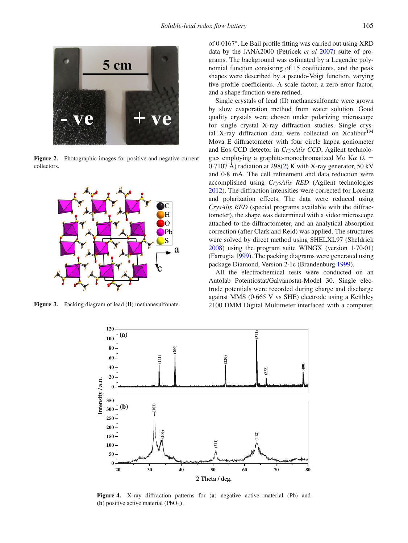<span id="page-2-0"></span>

Figure 2. Photographic images for positive and negative current collectors.

<span id="page-2-1"></span>

<span id="page-2-2"></span>**Figure 3.** Packing diagram of lead (II) methanesulfonate.

of 0·0167◦. Le Bail profile fitting was carried out using XRD data by the JANA2000 (Petricek *et a[l](#page-7-8)* [2007\)](#page-7-8) suite of programs. The background was estimated by a Legendre polynomial function consisting of 15 coefficients, and the peak shapes were described by a pseudo-Voigt function, varying five profile coefficients. A scale factor, a zero error factor, and a shape function were refined.

Single crystals of lead (II) methanesulfonate were grown by slow evaporation method from water solution. Good quality crystals were chosen under polarizing microscope for single crystal X-ray diffraction studies. Single crystal X-ray diffraction data were collected on Xcalibur<sup>TM</sup> Mova E diffractometer with four circle kappa goniometer and Eos CCD detector in *CrysAlis CCD*, Agilent technologies employing a graphite-monochromatized Mo K $\alpha$  ( $\lambda$  =  $0.7107$  Å) radiation at 298[\(2\)](#page-3-0) K with X-ray generator, 50 kV and 0·8 mA. The cell refinement and data reduction were accomplished using *CrysAlis RED* (Agilent technologies [2012\)](#page-7-9). The diffraction intensities were corrected for Lorentz and polarization effects. The data were reduced using *CrysAlis RED* (special programs available with the diffractometer), the shape was determined with a video microscope attached to the diffractometer, and an analytical absorption correction (after Clark and Reid) was applied. The structures were solved by direct method using SHELXL97 (Sheldric[k](#page-7-10) [2008\)](#page-7-10) using the program suite WINGX (version 1·70·01) (Farrugi[a](#page-7-11) [1999\)](#page-7-11). The packing diagrams were generated using package Diamond, Version 2·1c (Brandenbur[g](#page-7-12) [1999\)](#page-7-12).

All the electrochemical tests were conducted on an Autolab Potentiostat/Galvanostat-Model 30. Single electrode potentials were recorded during charge and discharge against MMS (0·665 V vs SHE) electrode using a Keithley 2100 DMM Digital Multimeter interfaced with a computer.



**Figure 4.** X-ray diffraction patterns for (**a**) negative active material (Pb) and (**b**) positive active material  $(PbO<sub>2</sub>)$ .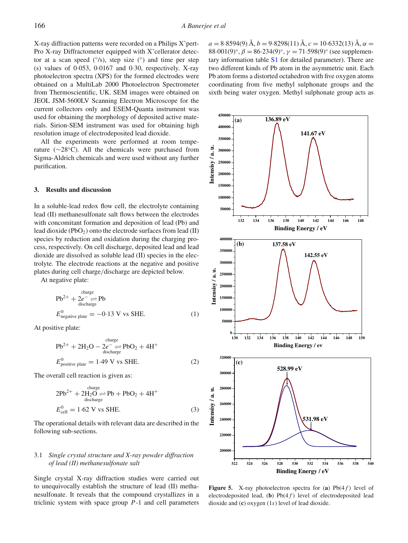X-ray diffraction patterns were recorded on a Philips X'pert-Pro X-ray Diffractometer equipped with X'cellerator detector at a scan speed  $(°/s)$ , step size  $(^{\circ})$  and time per step (s) values of 0·053, 0·0167 and 0·30, respectively. X-ray photoelectron spectra (XPS) for the formed electrodes were obtained on a MultiLab 2000 Photoelectron Spectrometer from Thermoscientific, UK. SEM images were obtained on JEOL JSM-5600LV Scanning Electron Microscope for the current collectors only and ESEM-Quanta instrument was used for obtaining the morphology of deposited active materials. Sirion-SEM instrument was used for obtaining high resolution image of electrodeposited lead dioxide.

All the experiments were performed at room temperature (∼28◦C). All the chemicals were purchased from Sigma-Aldrich chemicals and were used without any further purification.

#### **3. Results and discussion**

In a soluble-lead redox flow cell, the electrolyte containing lead (II) methanesulfonate salt flows between the electrodes with concomitant formation and deposition of lead (Pb) and lead dioxide (PbO2) onto the electrode surfaces from lead (II) species by reduction and oxidation during the charging process, respectively. On cell discharge, deposited lead and lead dioxide are dissolved as soluble lead (II) species in the electrolyte. The electrode reactions at the negative and positive plates during cell charge/discharge are depicted below.

At negative plate:

$$
Pb^{2+} + 2e^- \underset{\text{discharge}}{\rightleftharpoons} Pb
$$
  
\n
$$
E_{\text{negative plate}}^0 = -0.13 \text{ V vs SHE.}
$$
 (1)

At positive plate:

<span id="page-3-0"></span>
$$
Pb^{2+} + 2H_2O - 2e^- \rightleftharpoons PbO_2 + 4H^+
$$
  
\n
$$
E_{\text{positive plate}}^0 = 1.49 \text{ V vs SHE.}
$$
 (2)

The overall cell reaction is given as:

$$
2Pb^{2+} + 2H_2O \underset{\text{discharge}}{\rightleftharpoons} Pb + PbO_2 + 4H^+
$$
  
\n
$$
E_{\text{cell}}^0 = 1.62 \text{ V vs SHE.}
$$
 (3)

The operational details with relevant data are described in the following sub-sections.

## 3.1 *Single crystal structure and X-ray powder diffraction of lead (II) methanesulfonate salt*

Single crystal X-ray diffraction studies were carried out to unequivocally establish the structure of lead (II) methanesulfonate. It reveals that the compound crystallizes in a triclinic system with space group *P*-1 and cell parameters  $a = 8.8594(9)$  Å,  $b = 9.8298(11)$  Å,  $c = 10.6332(13)$  Å,  $\alpha =$ 88·001(9)°,  $\beta = 86.234(9)$ °,  $\gamma = 71.598(9)$ ° (see supplementary information table S1 for detailed parameter). There are two different kinds of Pb atom in the asymmetric unit. Each Pb atom forms a distorted octahedron with five oxygen atoms coordinating from five methyl sulphonate groups and the sixth being water oxygen. Methyl sulphonate group acts as

<span id="page-3-1"></span>

**Figure 5.** X-ray photoelectron spectra for (a)  $Pb(4f)$  level of electrodeposited lead,  $(b)$  Pb $(4f)$  level of electrodeposited lead dioxide and (**c**) oxygen (1*s*) level of lead dioxide.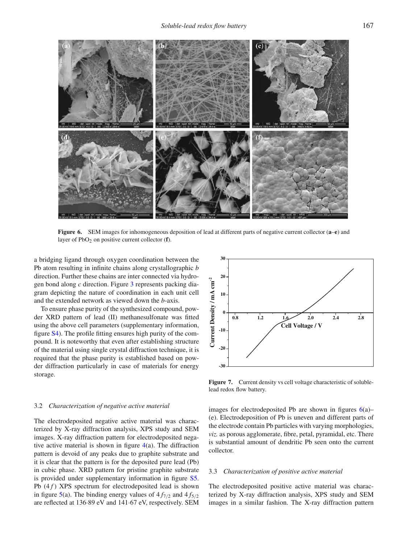<span id="page-4-0"></span>

**Figure 6.** SEM images for inhomogeneous deposition of lead at different parts of negative current collector (**a**–**e**) and layer of PbO<sub>2</sub> on positive current collector (**f**).

a bridging ligand through oxygen coordination between the Pb atom resulting in infinite chains along crystallographic *b* direction. Further these chains are inter connected via hydrogen bond along *c* direction. Figure [3](#page-2-1) represents packing diagram depicting the nature of coordination in each unit cell and the extended network as viewed down the *b*-axis.

To ensure phase purity of the synthesized compound, powder XRD pattern of lead (II) methanesulfonate was fitted using the above cell parameters (supplementary information, figure S4). The profile fitting ensures high purity of the compound. It is noteworthy that even after establishing structure of the material using single crystal diffraction technique, it is required that the phase purity is established based on powder diffraction particularly in case of materials for energy storage.

### 3.2 *Characterization of negative active material*

The electrodeposited negative active material was characterized by X-ray diffraction analysis, XPS study and SEM images. X-ray diffraction pattern for electrodeposited negative active material is shown in figure  $4(a)$  $4(a)$ . The diffraction pattern is devoid of any peaks due to graphite substrate and it is clear that the pattern is for the deposited pure lead (Pb) in cubic phase. XRD pattern for pristine graphite substrate is provided under supplementary information in figure S5. Pb (4*f*) XPS spectrum for electrodeposited lead is shown in figure [5\(](#page-3-1)a). The binding energy values of  $4f_{7/2}$  and  $4f_{5/2}$ are reflected at 136·89 eV and 141·67 eV, respectively. SEM

<span id="page-4-1"></span>

Figure 7. Current density vs cell voltage characteristic of solublelead redox flow battery.

images for electrodeposited Pb are shown in figures  $6(a)$  $6(a)$ – (e). Electrodeposition of Pb is uneven and different parts of the electrode contain Pb particles with varying morphologies, *viz.* as porous agglomerate, fibre, petal, pyramidal, etc. There is substantial amount of dendritic Pb seen onto the current collector.

#### 3.3 *Characterization of positive active material*

The electrodeposited positive active material was characterized by X-ray diffraction analysis, XPS study and SEM images in a similar fashion. The X-ray diffraction pattern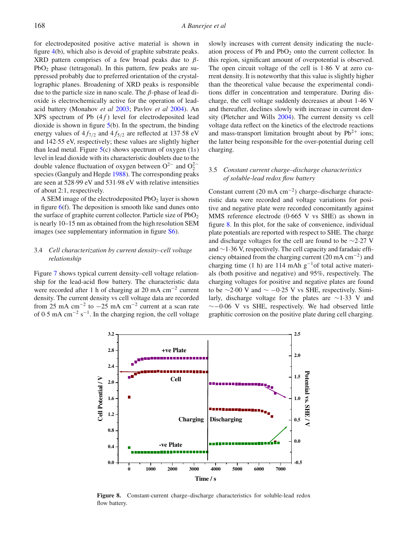for electrodeposited positive active material is shown in figure [4\(](#page-2-2)b), which also is devoid of graphite substrate peaks. XRD pattern comprises of a few broad peaks due to  $\beta$ -PbO2 phase (tetragonal). In this pattern, few peaks are suppressed probably due to preferred orientation of the crystallographic planes. Broadening of XRD peaks is responsible due to the particle size in nano scale. The β-phase of lead dioxide is electrochemically active for the operation of leadacid battery (Monahov *et a[l](#page-7-13)* [2003;](#page-7-13) Pavlov *et a[l](#page-7-14)* [2004\)](#page-7-14). An XPS spectrum of Pb (4 *f* ) level for electrodeposited lead dioxide is shown in figure  $5(b)$  $5(b)$ . In the spectrum, the binding energy values of  $4f_{7/2}$  and  $4f_{5/2}$  are reflected at 137.58 eV and 142·55 eV, respectively; these values are slightly higher than lead metal. Figure [5\(](#page-3-1)c) shows spectrum of oxygen (1*s*) level in lead dioxide with its characteristic doublets due to the double valence fluctuation of oxygen between  $O^{2-}$  and  $O_2^{2-}$ species (Ganguly and Hegd[e](#page-7-15) [1988\)](#page-7-15). The corresponding peaks are seen at 528·99 eV and 531·98 eV with relative intensities of about 2:1, respectively.

A SEM image of the electrodeposited  $PbO<sub>2</sub>$  layer is shown in figure  $6(f)$  $6(f)$ . The deposition is smooth like sand dunes onto the surface of graphite current collector. Particle size of  $PbO<sub>2</sub>$ is nearly 10–15 nm as obtained from the high resolution SEM images (see supplementary information in figure S6).

# 3.4 *Cell characterization by current density–cell voltage relationship*

Figure [7](#page-4-1) shows typical current density–cell voltage relationship for the lead-acid flow battery. The characteristic data were recorded after 1 h of charging at 20 mA cm<sup>−</sup><sup>2</sup> current density. The current density vs cell voltage data are recorded from 25 mA cm<sup>-2</sup> to  $-25$  mA cm<sup>-2</sup> current at a scan rate of 0.5 mA cm<sup>-2</sup> s<sup>-1</sup>. In the charging region, the cell voltage slowly increases with current density indicating the nucleation process of Pb and  $PbO<sub>2</sub>$  onto the current collector. In this region, significant amount of overpotential is observed. The open circuit voltage of the cell is 1·86 V at zero current density. It is noteworthy that this value is slightly higher than the theoretical value because the experimental conditions differ in concentration and temperature. During discharge, the cell voltage suddenly decreases at about 1·46 V and thereafter, declines slowly with increase in current density (Pletcher and Will[s](#page-7-3) [2004](#page-7-3)). The current density vs cell voltage data reflect on the kinetics of the electrode reactions and mass-transport limitation brought about by  $Pb^{2+}$  ions; the latter being responsible for the over-potential during cell charging.

# 3.5 *Constant current charge–discharge characteristics of soluble-lead redox flow battery*

Constant current (20 mA cm<sup>−</sup>2) charge–discharge characteristic data were recorded and voltage variations for positive and negative plate were recorded concomitantly against MMS reference electrode (0·665 V vs SHE) as shown in figure [8.](#page-5-0) In this plot, for the sake of convenience, individual plate potentials are reported with respect to SHE. The charge and discharge voltages for the cell are found to be ∼2·27 V and ∼1·36 V, respectively. The cell capacity and faradaic efficiency obtained from the charging current (20 mA cm<sup>−</sup><sup>2</sup>) and charging time (1 h) are 114 mAh  $g^{-1}$ of total active materials (both positive and negative) and 95%, respectively. The charging voltages for positive and negative plates are found to be  $\sim$ 2·00 V and  $\sim$  −0·25 V vs SHE, respectively. Similarly, discharge voltage for the plates are ∼1·33 V and ∼−0·06 V vs SHE, respectively. We had observed little graphitic corrosion on the positive plate during cell charging.

<span id="page-5-0"></span>

**Figure 8.** Constant-current charge–discharge characteristics for soluble-lead redox flow battery.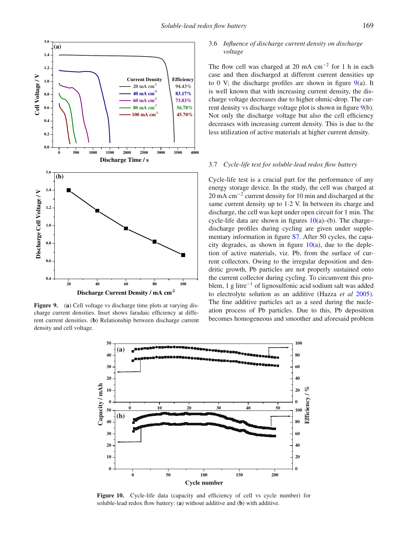<span id="page-6-0"></span>

<span id="page-6-1"></span>**Figure 9.** (a) Cell voltage vs discharge time plots at varying discharge current densities. Inset shows faradaic efficiency at different current densities. (**b**) Relationship between discharge current density and cell voltage.

# 3.6 *Influence of discharge current density on discharge voltage*

The flow cell was charged at 20 mA cm<sup>-2</sup> for 1 h in each case and then discharged at different current densities up to 0 V; the discharge profiles are shown in figure  $9(a)$  $9(a)$ . It is well known that with increasing current density, the discharge voltage decreases due to higher ohmic-drop. The current density vs discharge voltage plot is shown in figure [9\(](#page-6-0)b). Not only the discharge voltage but also the cell efficiency decreases with increasing current density. This is due to the less utilization of active materials at higher current density.

#### 3.7 *Cycle-life test for soluble-lead redox flow battery*

Cycle-life test is a crucial part for the performance of any energy storage device. In the study, the cell was charged at 20 mA cm<sup>-2</sup> current density for 10 min and discharged at the same current density up to 1·2 V. In between its charge and discharge, the cell was kept under open circuit for 1 min. The cycle-life data are shown in figures  $10(a)$  $10(a)$ –(b). The charge– discharge profiles during cycling are given under supplementary information in figure S7. After 50 cycles, the capacity degrades, as shown in figure  $10(a)$  $10(a)$ , due to the depletion of active materials, viz. Pb, from the surface of current collectors. Owing to the irregular deposition and dendritic growth, Pb particles are not properly sustained onto the current collector during cycling. To circumvent this problem, 1 g litre<sup>−</sup><sup>1</sup> of lignosulfonic acid sodium salt was added to electrolyte solution as an additive (Hazza *et a[l](#page-7-2)* [2005\)](#page-7-2). The fine additive particles act as a seed during the nucleation process of Pb particles. Due to this, Pb deposition becomes homogeneous and smoother and aforesaid problem



**Figure 10.** Cycle-life data (capacity and efficiency of cell vs cycle number) for soluble-lead redox flow battery: (**a**) without additive and (**b**) with additive.